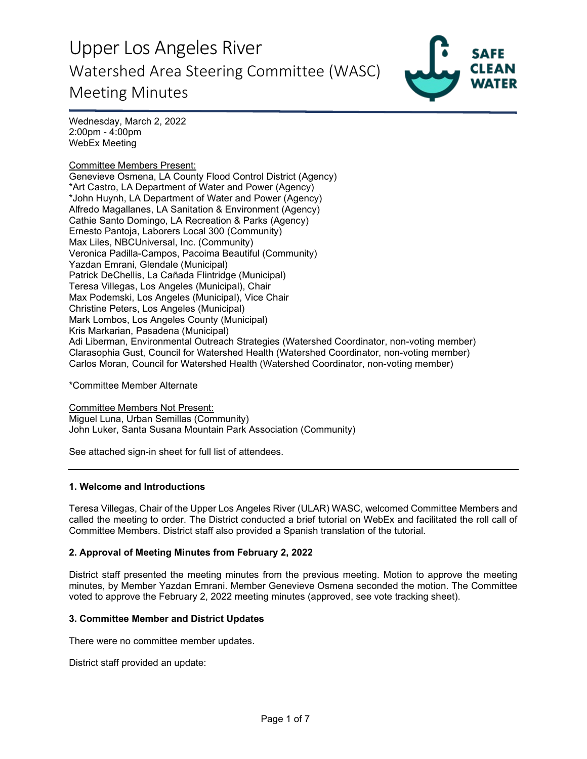

Wednesday, March 2, 2022 2:00pm - 4:00pm WebEx Meeting

#### Committee Members Present:

Genevieve Osmena, LA County Flood Control District (Agency) \*Art Castro, LA Department of Water and Power (Agency) \*John Huynh, LA Department of Water and Power (Agency) Alfredo Magallanes, LA Sanitation & Environment (Agency) Cathie Santo Domingo, LA Recreation & Parks (Agency) Ernesto Pantoja, Laborers Local 300 (Community) Max Liles, NBCUniversal, Inc. (Community) Veronica Padilla-Campos, Pacoima Beautiful (Community) Yazdan Emrani, Glendale (Municipal) Patrick DeChellis, La Cañada Flintridge (Municipal) Teresa Villegas, Los Angeles (Municipal), Chair Max Podemski, Los Angeles (Municipal), Vice Chair Christine Peters, Los Angeles (Municipal) Mark Lombos, Los Angeles County (Municipal) Kris Markarian, Pasadena (Municipal) Adi Liberman, Environmental Outreach Strategies (Watershed Coordinator, non-voting member) Clarasophia Gust, Council for Watershed Health (Watershed Coordinator, non-voting member) Carlos Moran, Council for Watershed Health (Watershed Coordinator, non-voting member)

\*Committee Member Alternate

Committee Members Not Present: Miguel Luna, Urban Semillas (Community) John Luker, Santa Susana Mountain Park Association (Community)

See attached sign-in sheet for full list of attendees.

#### **1. Welcome and Introductions**

Teresa Villegas, Chair of the Upper Los Angeles River (ULAR) WASC, welcomed Committee Members and called the meeting to order. The District conducted a brief tutorial on WebEx and facilitated the roll call of Committee Members. District staff also provided a Spanish translation of the tutorial.

## **2. Approval of Meeting Minutes from February 2, 2022**

District staff presented the meeting minutes from the previous meeting. Motion to approve the meeting minutes, by Member Yazdan Emrani. Member Genevieve Osmena seconded the motion. The Committee voted to approve the February 2, 2022 meeting minutes (approved, see vote tracking sheet).

#### **3. Committee Member and District Updates**

There were no committee member updates.

District staff provided an update: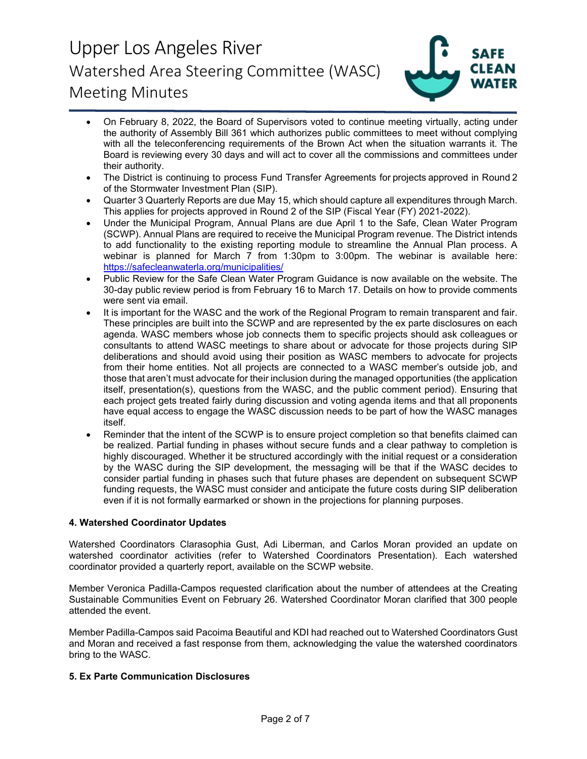

- On February 8, 2022, the Board of Supervisors voted to continue meeting virtually, acting under the authority of Assembly Bill 361 which authorizes public committees to meet without complying with all the teleconferencing requirements of the Brown Act when the situation warrants it. The Board is reviewing every 30 days and will act to cover all the commissions and committees under their authority.
- The District is continuing to process Fund Transfer Agreements for projects approved in Round 2 of the Stormwater Investment Plan (SIP).
- Quarter 3 Quarterly Reports are due May 15, which should capture all expenditures through March. This applies for projects approved in Round 2 of the SIP (Fiscal Year (FY) 2021-2022).
- Under the Municipal Program, Annual Plans are due April 1 to the Safe, Clean Water Program (SCWP). Annual Plans are required to receive the Municipal Program revenue. The District intends to add functionality to the existing reporting module to streamline the Annual Plan process. A webinar is planned for March 7 from 1:30pm to 3:00pm. The webinar is available here: <https://safecleanwaterla.org/municipalities/>
- Public Review for the Safe Clean Water Program Guidance is now available on the website. The 30-day public review period is from February 16 to March 17. Details on how to provide comments were sent via email.
- It is important for the WASC and the work of the Regional Program to remain transparent and fair. These principles are built into the SCWP and are represented by the ex parte disclosures on each agenda. WASC members whose job connects them to specific projects should ask colleagues or consultants to attend WASC meetings to share about or advocate for those projects during SIP deliberations and should avoid using their position as WASC members to advocate for projects from their home entities. Not all projects are connected to a WASC member's outside job, and those that aren't must advocate for their inclusion during the managed opportunities (the application itself, presentation(s), questions from the WASC, and the public comment period). Ensuring that each project gets treated fairly during discussion and voting agenda items and that all proponents have equal access to engage the WASC discussion needs to be part of how the WASC manages itself.
- Reminder that the intent of the SCWP is to ensure project completion so that benefits claimed can be realized. Partial funding in phases without secure funds and a clear pathway to completion is highly discouraged. Whether it be structured accordingly with the initial request or a consideration by the WASC during the SIP development, the messaging will be that if the WASC decides to consider partial funding in phases such that future phases are dependent on subsequent SCWP funding requests, the WASC must consider and anticipate the future costs during SIP deliberation even if it is not formally earmarked or shown in the projections for planning purposes.

## **4. Watershed Coordinator Updates**

Watershed Coordinators Clarasophia Gust, Adi Liberman, and Carlos Moran provided an update on watershed coordinator activities (refer to Watershed Coordinators Presentation). Each watershed coordinator provided a quarterly report, available on the SCWP website.

Member Veronica Padilla-Campos requested clarification about the number of attendees at the Creating Sustainable Communities Event on February 26. Watershed Coordinator Moran clarified that 300 people attended the event.

Member Padilla-Campos said Pacoima Beautiful and KDI had reached out to Watershed Coordinators Gust and Moran and received a fast response from them, acknowledging the value the watershed coordinators bring to the WASC.

## **5. Ex Parte Communication Disclosures**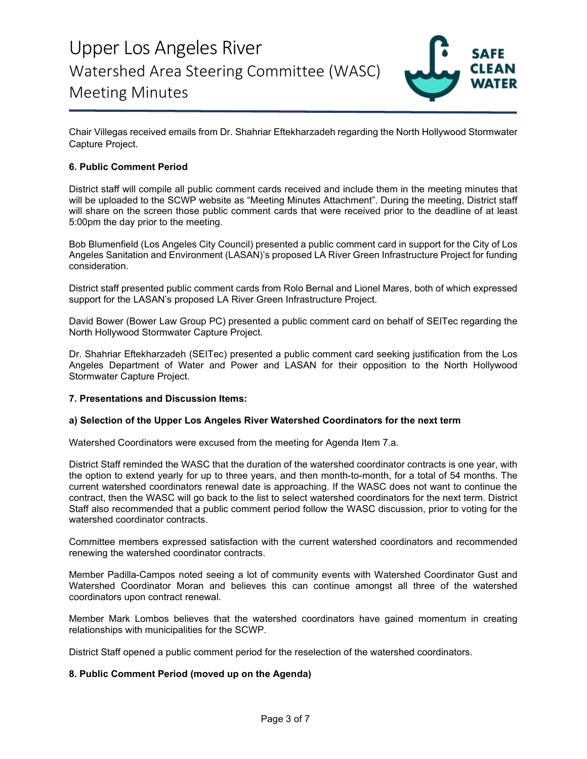

Chair Villegas received emails from Dr. Shahriar Eftekharzadeh regarding the North Hollywood Stormwater Capture Project.

## **6. Public Comment Period**

District staff will compile all public comment cards received and include them in the meeting minutes that will be uploaded to the SCWP website as "Meeting Minutes Attachment". During the meeting, District staff will share on the screen those public comment cards that were received prior to the deadline of at least 5:00pm the day prior to the meeting.

Bob Blumenfield (Los Angeles City Council) presented a public comment card in support for the City of Los Angeles Sanitation and Environment (LASAN)'s proposed LA River Green Infrastructure Project for funding consideration.

District staff presented public comment cards from Rolo Bernal and Lionel Mares, both of which expressed support for the LASAN's proposed LA River Green Infrastructure Project.

David Bower (Bower Law Group PC) presented a public comment card on behalf of SEITec regarding the North Hollywood Stormwater Capture Project.

Dr. Shahriar Eftekharzadeh (SEITec) presented a public comment card seeking justification from the Los Angeles Department of Water and Power and LASAN for their opposition to the North Hollywood Stormwater Capture Project.

## **7. Presentations and Discussion Items:**

#### **a) Selection of the Upper Los Angeles River Watershed Coordinators for the next term**

Watershed Coordinators were excused from the meeting for Agenda Item 7.a.

District Staff reminded the WASC that the duration of the watershed coordinator contracts is one year, with the option to extend yearly for up to three years, and then month-to-month, for a total of 54 months. The current watershed coordinators renewal date is approaching. If the WASC does not want to continue the contract, then the WASC will go back to the list to select watershed coordinators for the next term. District Staff also recommended that a public comment period follow the WASC discussion, prior to voting for the watershed coordinator contracts.

Committee members expressed satisfaction with the current watershed coordinators and recommended renewing the watershed coordinator contracts.

Member Padilla-Campos noted seeing a lot of community events with Watershed Coordinator Gust and Watershed Coordinator Moran and believes this can continue amongst all three of the watershed coordinators upon contract renewal.

Member Mark Lombos believes that the watershed coordinators have gained momentum in creating relationships with municipalities for the SCWP.

District Staff opened a public comment period for the reselection of the watershed coordinators.

## **8. Public Comment Period (moved up on the Agenda)**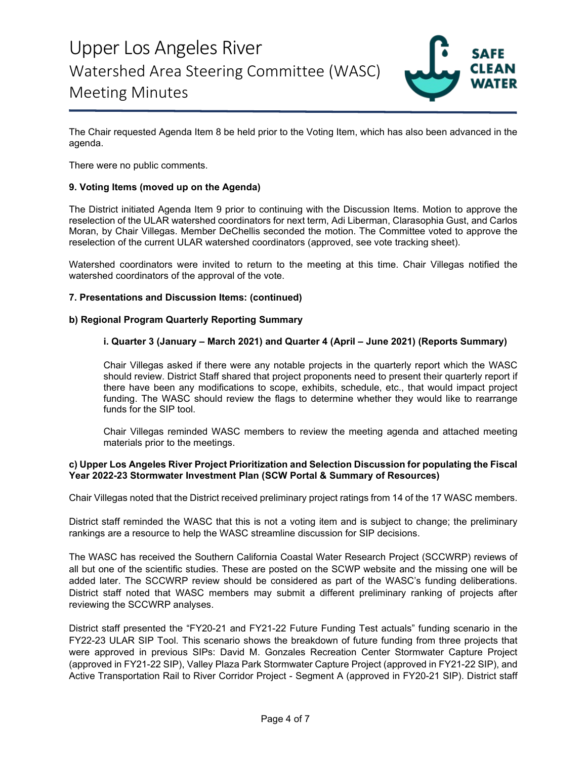

The Chair requested Agenda Item 8 be held prior to the Voting Item, which has also been advanced in the agenda.

There were no public comments.

## **9. Voting Items (moved up on the Agenda)**

The District initiated Agenda Item 9 prior to continuing with the Discussion Items. Motion to approve the reselection of the ULAR watershed coordinators for next term, Adi Liberman, Clarasophia Gust, and Carlos Moran, by Chair Villegas. Member DeChellis seconded the motion. The Committee voted to approve the reselection of the current ULAR watershed coordinators (approved, see vote tracking sheet).

Watershed coordinators were invited to return to the meeting at this time. Chair Villegas notified the watershed coordinators of the approval of the vote.

#### **7. Presentations and Discussion Items: (continued)**

#### **b) Regional Program Quarterly Reporting Summary**

#### **i. Quarter 3 (January – March 2021) and Quarter 4 (April – June 2021) (Reports Summary)**

Chair Villegas asked if there were any notable projects in the quarterly report which the WASC should review. District Staff shared that project proponents need to present their quarterly report if there have been any modifications to scope, exhibits, schedule, etc., that would impact project funding. The WASC should review the flags to determine whether they would like to rearrange funds for the SIP tool.

Chair Villegas reminded WASC members to review the meeting agenda and attached meeting materials prior to the meetings.

#### **c) Upper Los Angeles River Project Prioritization and Selection Discussion for populating the Fiscal Year 2022-23 Stormwater Investment Plan (SCW Portal & Summary of Resources)**

Chair Villegas noted that the District received preliminary project ratings from 14 of the 17 WASC members.

District staff reminded the WASC that this is not a voting item and is subject to change; the preliminary rankings are a resource to help the WASC streamline discussion for SIP decisions.

The WASC has received the Southern California Coastal Water Research Project (SCCWRP) reviews of all but one of the scientific studies. These are posted on the SCWP website and the missing one will be added later. The SCCWRP review should be considered as part of the WASC's funding deliberations. District staff noted that WASC members may submit a different preliminary ranking of projects after reviewing the SCCWRP analyses.

District staff presented the "FY20-21 and FY21-22 Future Funding Test actuals" funding scenario in the FY22-23 ULAR SIP Tool. This scenario shows the breakdown of future funding from three projects that were approved in previous SIPs: David M. Gonzales Recreation Center Stormwater Capture Project (approved in FY21-22 SIP), Valley Plaza Park Stormwater Capture Project (approved in FY21-22 SIP), and Active Transportation Rail to River Corridor Project - Segment A (approved in FY20-21 SIP). District staff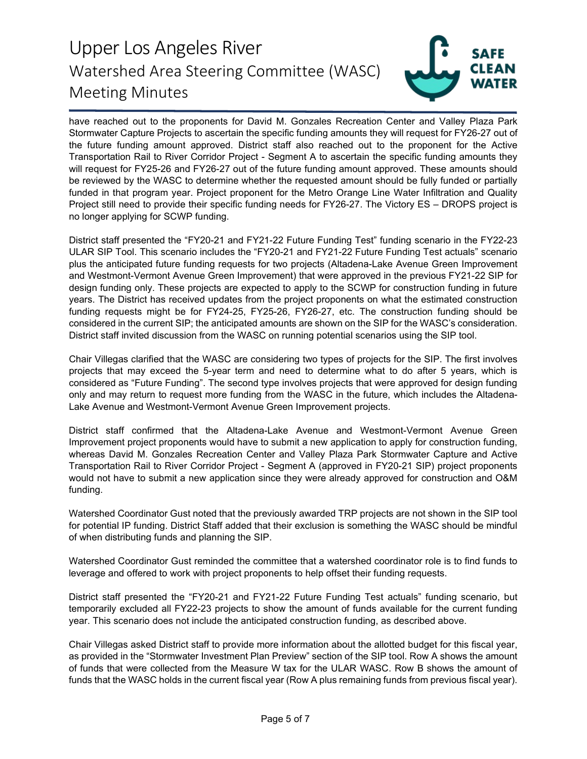

have reached out to the proponents for David M. Gonzales Recreation Center and Valley Plaza Park Stormwater Capture Projects to ascertain the specific funding amounts they will request for FY26-27 out of the future funding amount approved. District staff also reached out to the proponent for the Active Transportation Rail to River Corridor Project - Segment A to ascertain the specific funding amounts they will request for FY25-26 and FY26-27 out of the future funding amount approved. These amounts should be reviewed by the WASC to determine whether the requested amount should be fully funded or partially funded in that program year. Project proponent for the Metro Orange Line Water Infiltration and Quality Project still need to provide their specific funding needs for FY26-27. The Victory ES – DROPS project is no longer applying for SCWP funding.

District staff presented the "FY20-21 and FY21-22 Future Funding Test" funding scenario in the FY22-23 ULAR SIP Tool. This scenario includes the "FY20-21 and FY21-22 Future Funding Test actuals" scenario plus the anticipated future funding requests for two projects (Altadena-Lake Avenue Green Improvement and Westmont-Vermont Avenue Green Improvement) that were approved in the previous FY21-22 SIP for design funding only. These projects are expected to apply to the SCWP for construction funding in future years. The District has received updates from the project proponents on what the estimated construction funding requests might be for FY24-25, FY25-26, FY26-27, etc. The construction funding should be considered in the current SIP; the anticipated amounts are shown on the SIP for the WASC's consideration. District staff invited discussion from the WASC on running potential scenarios using the SIP tool.

Chair Villegas clarified that the WASC are considering two types of projects for the SIP. The first involves projects that may exceed the 5-year term and need to determine what to do after 5 years, which is considered as "Future Funding". The second type involves projects that were approved for design funding only and may return to request more funding from the WASC in the future, which includes the Altadena-Lake Avenue and Westmont-Vermont Avenue Green Improvement projects.

District staff confirmed that the Altadena-Lake Avenue and Westmont-Vermont Avenue Green Improvement project proponents would have to submit a new application to apply for construction funding, whereas David M. Gonzales Recreation Center and Valley Plaza Park Stormwater Capture and Active Transportation Rail to River Corridor Project - Segment A (approved in FY20-21 SIP) project proponents would not have to submit a new application since they were already approved for construction and O&M funding.

Watershed Coordinator Gust noted that the previously awarded TRP projects are not shown in the SIP tool for potential IP funding. District Staff added that their exclusion is something the WASC should be mindful of when distributing funds and planning the SIP.

Watershed Coordinator Gust reminded the committee that a watershed coordinator role is to find funds to leverage and offered to work with project proponents to help offset their funding requests.

District staff presented the "FY20-21 and FY21-22 Future Funding Test actuals" funding scenario, but temporarily excluded all FY22-23 projects to show the amount of funds available for the current funding year. This scenario does not include the anticipated construction funding, as described above.

Chair Villegas asked District staff to provide more information about the allotted budget for this fiscal year, as provided in the "Stormwater Investment Plan Preview" section of the SIP tool. Row A shows the amount of funds that were collected from the Measure W tax for the ULAR WASC. Row B shows the amount of funds that the WASC holds in the current fiscal year (Row A plus remaining funds from previous fiscal year).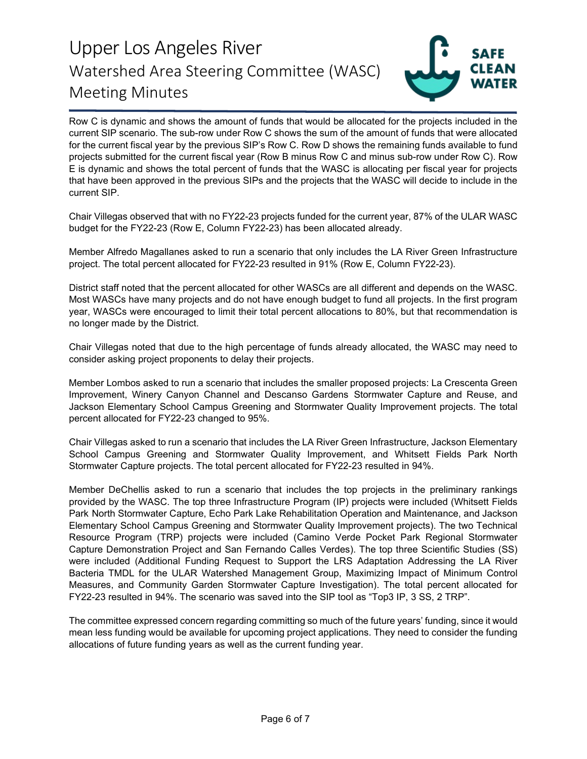

Row C is dynamic and shows the amount of funds that would be allocated for the projects included in the current SIP scenario. The sub-row under Row C shows the sum of the amount of funds that were allocated for the current fiscal year by the previous SIP's Row C. Row D shows the remaining funds available to fund projects submitted for the current fiscal year (Row B minus Row C and minus sub-row under Row C). Row E is dynamic and shows the total percent of funds that the WASC is allocating per fiscal year for projects that have been approved in the previous SIPs and the projects that the WASC will decide to include in the current SIP.

Chair Villegas observed that with no FY22-23 projects funded for the current year, 87% of the ULAR WASC budget for the FY22-23 (Row E, Column FY22-23) has been allocated already.

Member Alfredo Magallanes asked to run a scenario that only includes the LA River Green Infrastructure project. The total percent allocated for FY22-23 resulted in 91% (Row E, Column FY22-23).

District staff noted that the percent allocated for other WASCs are all different and depends on the WASC. Most WASCs have many projects and do not have enough budget to fund all projects. In the first program year, WASCs were encouraged to limit their total percent allocations to 80%, but that recommendation is no longer made by the District.

Chair Villegas noted that due to the high percentage of funds already allocated, the WASC may need to consider asking project proponents to delay their projects.

Member Lombos asked to run a scenario that includes the smaller proposed projects: La Crescenta Green Improvement, Winery Canyon Channel and Descanso Gardens Stormwater Capture and Reuse, and Jackson Elementary School Campus Greening and Stormwater Quality Improvement projects. The total percent allocated for FY22-23 changed to 95%.

Chair Villegas asked to run a scenario that includes the LA River Green Infrastructure, Jackson Elementary School Campus Greening and Stormwater Quality Improvement, and Whitsett Fields Park North Stormwater Capture projects. The total percent allocated for FY22-23 resulted in 94%.

Member DeChellis asked to run a scenario that includes the top projects in the preliminary rankings provided by the WASC. The top three Infrastructure Program (IP) projects were included (Whitsett Fields Park North Stormwater Capture, Echo Park Lake Rehabilitation Operation and Maintenance, and Jackson Elementary School Campus Greening and Stormwater Quality Improvement projects). The two Technical Resource Program (TRP) projects were included (Camino Verde Pocket Park Regional Stormwater Capture Demonstration Project and San Fernando Calles Verdes). The top three Scientific Studies (SS) were included (Additional Funding Request to Support the LRS Adaptation Addressing the LA River Bacteria TMDL for the ULAR Watershed Management Group, Maximizing Impact of Minimum Control Measures, and Community Garden Stormwater Capture Investigation). The total percent allocated for FY22-23 resulted in 94%. The scenario was saved into the SIP tool as "Top3 IP, 3 SS, 2 TRP".

The committee expressed concern regarding committing so much of the future years' funding, since it would mean less funding would be available for upcoming project applications. They need to consider the funding allocations of future funding years as well as the current funding year.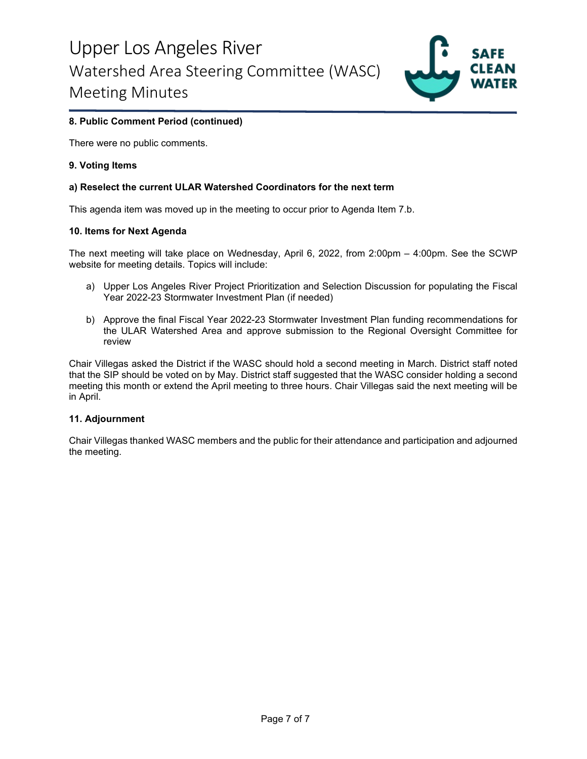

## **8. Public Comment Period (continued)**

There were no public comments.

#### **9. Voting Items**

#### **a) Reselect the current ULAR Watershed Coordinators for the next term**

This agenda item was moved up in the meeting to occur prior to Agenda Item 7.b.

#### **10. Items for Next Agenda**

The next meeting will take place on Wednesday, April 6, 2022, from 2:00pm – 4:00pm. See the SCWP website for meeting details. Topics will include:

- a) Upper Los Angeles River Project Prioritization and Selection Discussion for populating the Fiscal Year 2022-23 Stormwater Investment Plan (if needed)
- b) Approve the final Fiscal Year 2022-23 Stormwater Investment Plan funding recommendations for the ULAR Watershed Area and approve submission to the Regional Oversight Committee for review

Chair Villegas asked the District if the WASC should hold a second meeting in March. District staff noted that the SIP should be voted on by May. District staff suggested that the WASC consider holding a second meeting this month or extend the April meeting to three hours. Chair Villegas said the next meeting will be in April.

#### **11. Adjournment**

Chair Villegas thanked WASC members and the public for their attendance and participation and adjourned the meeting.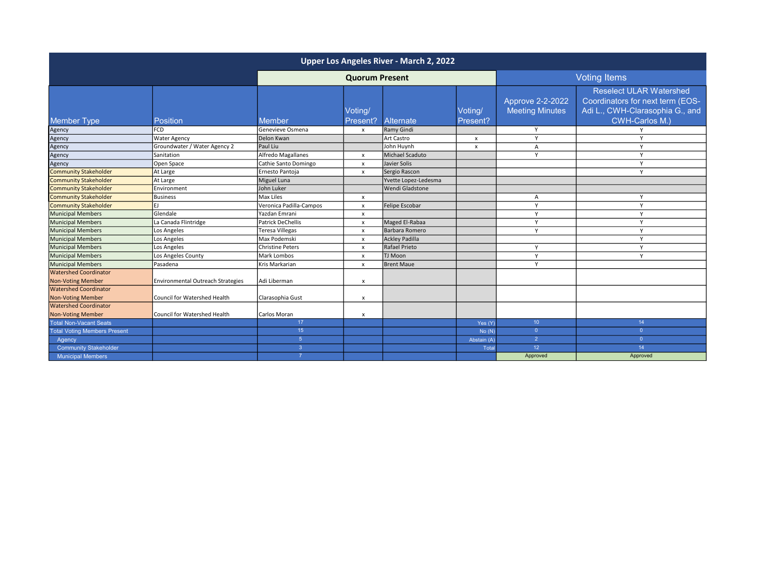| Upper Los Angeles River - March 2, 2022 |                                   |                          |                           |                      |                     |                                            |                                                                                                                         |  |  |
|-----------------------------------------|-----------------------------------|--------------------------|---------------------------|----------------------|---------------------|--------------------------------------------|-------------------------------------------------------------------------------------------------------------------------|--|--|
|                                         |                                   | <b>Quorum Present</b>    |                           |                      | <b>Voting Items</b> |                                            |                                                                                                                         |  |  |
| <b>Member Type</b>                      | Position                          | <b>Member</b>            | Voting/<br>Present?       | Alternate            | Voting/<br>Present? | Approve 2-2-2022<br><b>Meeting Minutes</b> | <b>Reselect ULAR Watershed</b><br>Coordinators for next term (EOS-<br>Adi L., CWH-Clarasophia G., and<br>CWH-Carlos M.) |  |  |
| Agency                                  | <b>FCD</b>                        | Genevieve Osmena         | $\boldsymbol{\mathsf{x}}$ | Ramy Gindi           |                     | Y                                          |                                                                                                                         |  |  |
| Agency                                  | <b>Water Agency</b>               | Delon Kwan               |                           | Art Castro           | $\boldsymbol{x}$    | $\mathsf{Y}$                               | $\mathbf{v}$                                                                                                            |  |  |
| Agency                                  | Groundwater / Water Agency 2      | Paul Liu                 |                           | John Huynh           | $\boldsymbol{x}$    | $\overline{A}$                             | Y                                                                                                                       |  |  |
| Agency                                  | <b>Sanitation</b>                 | Alfredo Magallanes       | $\boldsymbol{\mathsf{x}}$ | Michael Scaduto      |                     | $\mathsf{Y}$                               | Y                                                                                                                       |  |  |
| Agency                                  | Open Space                        | Cathie Santo Domingo     | $\mathsf{x}$              | Javier Solis         |                     |                                            | Y                                                                                                                       |  |  |
| <b>Community Stakeholder</b>            | At Large                          | Ernesto Pantoja          | $\boldsymbol{\mathsf{x}}$ | Sergio Rascon        |                     |                                            | v                                                                                                                       |  |  |
| <b>Community Stakeholder</b>            | At Large                          | Miguel Luna              |                           | Yvette Lopez-Ledesma |                     |                                            |                                                                                                                         |  |  |
| <b>Community Stakeholder</b>            | Environment                       | John Luker               |                           | Wendi Gladstone      |                     |                                            |                                                                                                                         |  |  |
| <b>Community Stakeholder</b>            | <b>Business</b>                   | <b>Max Liles</b>         | $\boldsymbol{\mathsf{x}}$ |                      |                     | $\overline{A}$                             | Y                                                                                                                       |  |  |
| <b>Community Stakeholder</b>            | EJ                                | Veronica Padilla-Campos  | $\boldsymbol{\mathsf{x}}$ | Felipe Escobar       |                     | Y                                          | Y                                                                                                                       |  |  |
| <b>Municipal Members</b>                | Glendale                          | Yazdan Emrani            | $\boldsymbol{\mathsf{x}}$ |                      |                     | Y                                          | Y                                                                                                                       |  |  |
| <b>Municipal Members</b>                | La Canada Flintridge              | <b>Patrick DeChellis</b> | $\mathsf{x}$              | Maged El-Rabaa       |                     | $\mathsf{Y}$                               | Y                                                                                                                       |  |  |
| <b>Municipal Members</b>                | Los Angeles                       | <b>Teresa Villegas</b>   | $\boldsymbol{\mathsf{x}}$ | Barbara Romero       |                     | $\mathsf{Y}$                               | Y                                                                                                                       |  |  |
| <b>Municipal Members</b>                | Los Angeles                       | Max Podemski             | $\mathsf{x}$              | Ackley Padilla       |                     |                                            | Y                                                                                                                       |  |  |
| <b>Municipal Members</b>                | Los Angeles                       | <b>Christine Peters</b>  | $\mathsf{x}$              | Rafael Prieto        |                     | Y                                          | Y                                                                                                                       |  |  |
| <b>Municipal Members</b>                | Los Angeles County                | <b>Mark Lombos</b>       | $\mathsf{x}$              | <b>TJ Moon</b>       |                     | Y                                          | Y                                                                                                                       |  |  |
| <b>Municipal Members</b>                | Pasadena                          | Kris Markarian           | $\pmb{\times}$            | <b>Brent Maue</b>    |                     | Y                                          |                                                                                                                         |  |  |
| <b>Watershed Coordinator</b>            |                                   |                          |                           |                      |                     |                                            |                                                                                                                         |  |  |
| <b>Non-Voting Member</b>                | Environmental Outreach Strategies | Adi Liberman             | $\boldsymbol{\mathsf{x}}$ |                      |                     |                                            |                                                                                                                         |  |  |
| <b>Watershed Coordinator</b>            |                                   |                          |                           |                      |                     |                                            |                                                                                                                         |  |  |
| <b>Non-Voting Member</b>                | Council for Watershed Health      | Clarasophia Gust         | $\boldsymbol{\mathsf{x}}$ |                      |                     |                                            |                                                                                                                         |  |  |
| <b>Watershed Coordinator</b>            |                                   |                          |                           |                      |                     |                                            |                                                                                                                         |  |  |
| <b>Non-Voting Member</b>                | Council for Watershed Health      | Carlos Moran             | $\boldsymbol{\mathsf{x}}$ |                      |                     |                                            |                                                                                                                         |  |  |
| <b>Total Non-Vacant Seats</b>           |                                   | 17                       |                           |                      | Yes (Y)             | 10 <sup>°</sup>                            | 14                                                                                                                      |  |  |
| <b>Total Voting Members Present</b>     |                                   | 15 <sub>15</sub>         |                           |                      | No(N)               | $\overline{0}$                             | $\overline{0}$                                                                                                          |  |  |
| Agency                                  |                                   | 5 <sup>5</sup>           |                           |                      | Abstain (A)         | $\overline{2}$                             | $\overline{0}$                                                                                                          |  |  |
| <b>Community Stakeholder</b>            |                                   | $\overline{3}$           |                           |                      | Total               | 12 <sup>°</sup>                            | 14                                                                                                                      |  |  |
| <b>Municipal Members</b>                |                                   | $\overline{7}$           |                           |                      |                     | Approved                                   | Approved                                                                                                                |  |  |